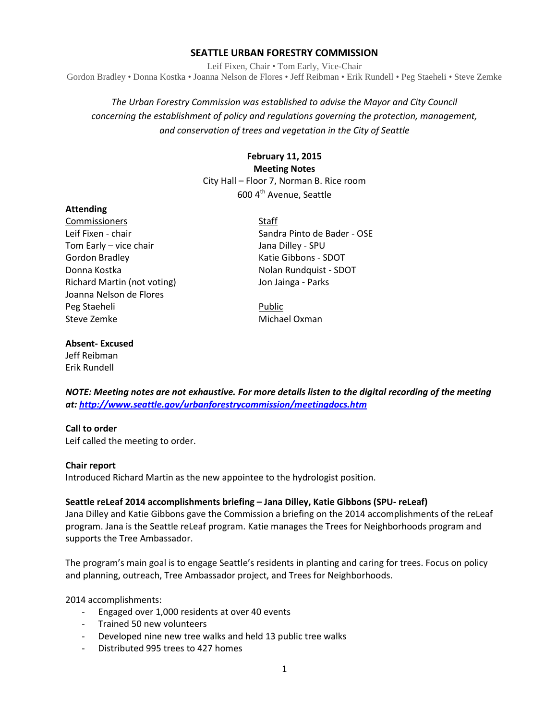## **SEATTLE URBAN FORESTRY COMMISSION**

Leif Fixen, Chair • Tom Early, Vice-Chair Gordon Bradley • Donna Kostka • Joanna Nelson de Flores • Jeff Reibman • Erik Rundell • Peg Staeheli • Steve Zemke

# *The Urban Forestry Commission was established to advise the Mayor and City Council concerning the establishment of policy and regulations governing the protection, management, and conservation of trees and vegetation in the City of Seattle*

## **February 11, 2015 Meeting Notes** City Hall – Floor 7, Norman B. Rice room 600 4<sup>th</sup> Avenue, Seattle

### **Attending**

Commissioners Staff Tom Early – vice chair **Jana Dilley - SPU** Gordon Bradley **Katie Gibbons - SDOT** Donna Kostka Nolan Rundquist - SDOT Richard Martin (not voting) Same States and Dun Jainga - Parks Joanna Nelson de Flores Peg Staeheli **Public** Public Steve Zemke Michael Oxman

Leif Fixen - chair Sandra Pinto de Bader - OSE

## **Absent- Excused**

Jeff Reibman Erik Rundell

*NOTE: Meeting notes are not exhaustive. For more details listen to the digital recording of the meeting at:<http://www.seattle.gov/urbanforestrycommission/meetingdocs.htm>*

## **Call to order**

Leif called the meeting to order.

#### **Chair report**

Introduced Richard Martin as the new appointee to the hydrologist position.

## **Seattle reLeaf 2014 accomplishments briefing – Jana Dilley, Katie Gibbons (SPU- reLeaf)**

Jana Dilley and Katie Gibbons gave the Commission a briefing on the 2014 accomplishments of the reLeaf program. Jana is the Seattle reLeaf program. Katie manages the Trees for Neighborhoods program and supports the Tree Ambassador.

The program's main goal is to engage Seattle's residents in planting and caring for trees. Focus on policy and planning, outreach, Tree Ambassador project, and Trees for Neighborhoods.

2014 accomplishments:

- Engaged over 1,000 residents at over 40 events
- Trained 50 new volunteers
- Developed nine new tree walks and held 13 public tree walks
- Distributed 995 trees to 427 homes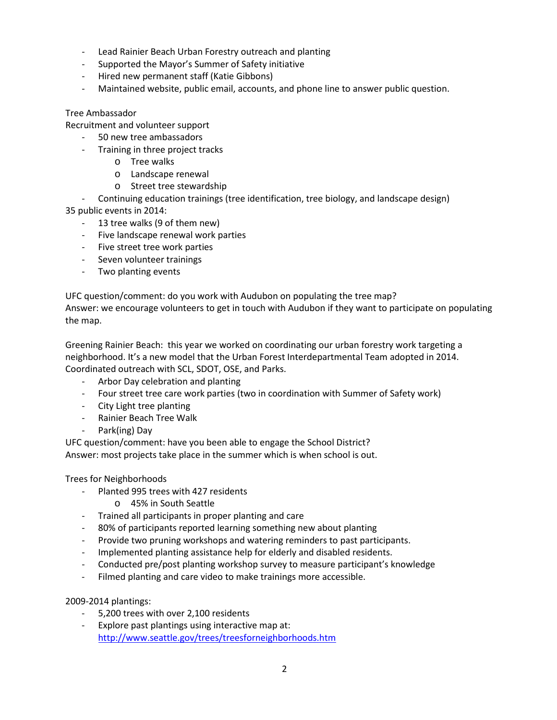- Lead Rainier Beach Urban Forestry outreach and planting
- Supported the Mayor's Summer of Safety initiative
- Hired new permanent staff (Katie Gibbons)
- Maintained website, public email, accounts, and phone line to answer public question.

### Tree Ambassador

Recruitment and volunteer support

- 50 new tree ambassadors
- Training in three project tracks
	- o Tree walks
	- o Landscape renewal
	- o Street tree stewardship

- Continuing education trainings (tree identification, tree biology, and landscape design) 35 public events in 2014:

- 13 tree walks (9 of them new)
- Five landscape renewal work parties
- Five street tree work parties
- Seven volunteer trainings
- Two planting events

UFC question/comment: do you work with Audubon on populating the tree map?

Answer: we encourage volunteers to get in touch with Audubon if they want to participate on populating the map.

Greening Rainier Beach: this year we worked on coordinating our urban forestry work targeting a neighborhood. It's a new model that the Urban Forest Interdepartmental Team adopted in 2014. Coordinated outreach with SCL, SDOT, OSE, and Parks.

- Arbor Day celebration and planting
- Four street tree care work parties (two in coordination with Summer of Safety work)
- City Light tree planting
- Rainier Beach Tree Walk
- Park(ing) Day

UFC question/comment: have you been able to engage the School District? Answer: most projects take place in the summer which is when school is out.

Trees for Neighborhoods

- Planted 995 trees with 427 residents
	- o 45% in South Seattle
- Trained all participants in proper planting and care
- 80% of participants reported learning something new about planting
- Provide two pruning workshops and watering reminders to past participants.
- Implemented planting assistance help for elderly and disabled residents.
- Conducted pre/post planting workshop survey to measure participant's knowledge
- Filmed planting and care video to make trainings more accessible.

2009-2014 plantings:

- 5,200 trees with over 2,100 residents
- Explore past plantings using interactive map at: <http://www.seattle.gov/trees/treesforneighborhoods.htm>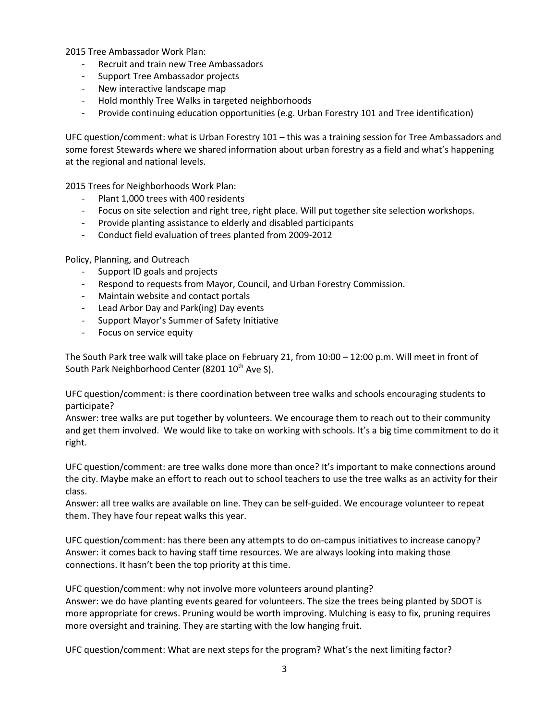2015 Tree Ambassador Work Plan:

- Recruit and train new Tree Ambassadors
- Support Tree Ambassador projects
- New interactive landscape map
- Hold monthly Tree Walks in targeted neighborhoods
- Provide continuing education opportunities (e.g. Urban Forestry 101 and Tree identification)

UFC question/comment: what is Urban Forestry 101 – this was a training session for Tree Ambassadors and some forest Stewards where we shared information about urban forestry as a field and what's happening at the regional and national levels.

2015 Trees for Neighborhoods Work Plan:

- Plant 1,000 trees with 400 residents
- Focus on site selection and right tree, right place. Will put together site selection workshops.
- Provide planting assistance to elderly and disabled participants
- Conduct field evaluation of trees planted from 2009-2012

Policy, Planning, and Outreach

- Support ID goals and projects
- Respond to requests from Mayor, Council, and Urban Forestry Commission.
- Maintain website and contact portals
- Lead Arbor Day and Park(ing) Day events
- Support Mayor's Summer of Safety Initiative
- Focus on service equity

The South Park tree walk will take place on February 21, from 10:00 – 12:00 p.m. Will meet in front of South Park Neighborhood Center (8201 10<sup>th</sup> Ave S).

UFC question/comment: is there coordination between tree walks and schools encouraging students to participate?

Answer: tree walks are put together by volunteers. We encourage them to reach out to their community and get them involved. We would like to take on working with schools. It's a big time commitment to do it right.

UFC question/comment: are tree walks done more than once? It's important to make connections around the city. Maybe make an effort to reach out to school teachers to use the tree walks as an activity for their class.

Answer: all tree walks are available on line. They can be self-guided. We encourage volunteer to repeat them. They have four repeat walks this year.

UFC question/comment: has there been any attempts to do on-campus initiatives to increase canopy? Answer: it comes back to having staff time resources. We are always looking into making those connections. It hasn't been the top priority at this time.

UFC question/comment: why not involve more volunteers around planting? Answer: we do have planting events geared for volunteers. The size the trees being planted by SDOT is more appropriate for crews. Pruning would be worth improving. Mulching is easy to fix, pruning requires more oversight and training. They are starting with the low hanging fruit.

UFC question/comment: What are next steps for the program? What's the next limiting factor?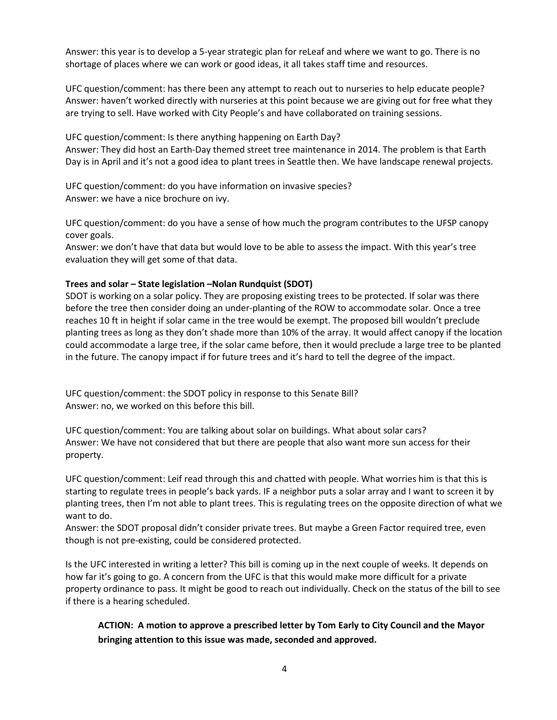Answer: this year is to develop a 5-year strategic plan for reLeaf and where we want to go. There is no shortage of places where we can work or good ideas, it all takes staff time and resources.

UFC question/comment: has there been any attempt to reach out to nurseries to help educate people? Answer: haven't worked directly with nurseries at this point because we are giving out for free what they are trying to sell. Have worked with City People's and have collaborated on training sessions.

UFC question/comment: Is there anything happening on Earth Day?

Answer: They did host an Earth-Day themed street tree maintenance in 2014. The problem is that Earth Day is in April and it's not a good idea to plant trees in Seattle then. We have landscape renewal projects.

UFC question/comment: do you have information on invasive species? Answer: we have a nice brochure on ivy.

UFC question/comment: do you have a sense of how much the program contributes to the UFSP canopy cover goals.

Answer: we don't have that data but would love to be able to assess the impact. With this year's tree evaluation they will get some of that data.

## **Trees and solar – State legislation –Nolan Rundquist (SDOT)**

SDOT is working on a solar policy. They are proposing existing trees to be protected. If solar was there before the tree then consider doing an under-planting of the ROW to accommodate solar. Once a tree reaches 10 ft in height if solar came in the tree would be exempt. The proposed bill wouldn't preclude planting trees as long as they don't shade more than 10% of the array. It would affect canopy if the location could accommodate a large tree, if the solar came before, then it would preclude a large tree to be planted in the future. The canopy impact if for future trees and it's hard to tell the degree of the impact.

UFC question/comment: the SDOT policy in response to this Senate Bill? Answer: no, we worked on this before this bill.

UFC question/comment: You are talking about solar on buildings. What about solar cars? Answer: We have not considered that but there are people that also want more sun access for their property.

UFC question/comment: Leif read through this and chatted with people. What worries him is that this is starting to regulate trees in people's back yards. IF a neighbor puts a solar array and I want to screen it by planting trees, then I'm not able to plant trees. This is regulating trees on the opposite direction of what we want to do.

Answer: the SDOT proposal didn't consider private trees. But maybe a Green Factor required tree, even though is not pre-existing, could be considered protected.

Is the UFC interested in writing a letter? This bill is coming up in the next couple of weeks. It depends on how far it's going to go. A concern from the UFC is that this would make more difficult for a private property ordinance to pass. It might be good to reach out individually. Check on the status of the bill to see if there is a hearing scheduled.

**ACTION: A motion to approve a prescribed letter by Tom Early to City Council and the Mayor bringing attention to this issue was made, seconded and approved.**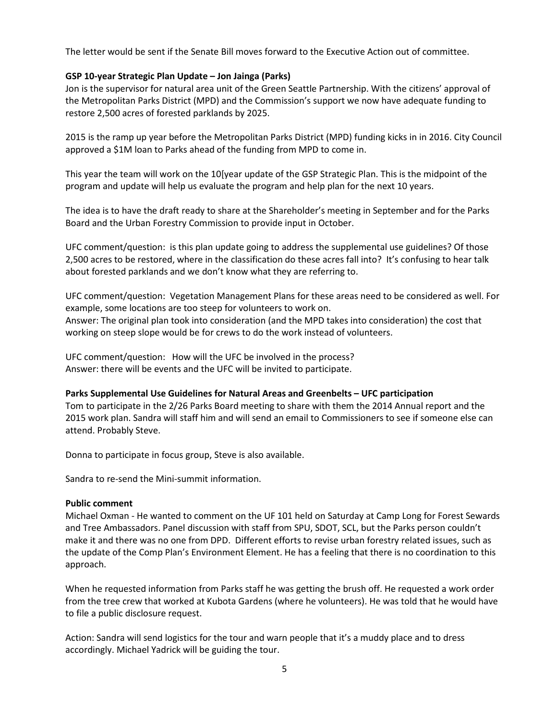The letter would be sent if the Senate Bill moves forward to the Executive Action out of committee.

### **GSP 10-year Strategic Plan Update – Jon Jainga (Parks)**

Jon is the supervisor for natural area unit of the Green Seattle Partnership. With the citizens' approval of the Metropolitan Parks District (MPD) and the Commission's support we now have adequate funding to restore 2,500 acres of forested parklands by 2025.

2015 is the ramp up year before the Metropolitan Parks District (MPD) funding kicks in in 2016. City Council approved a \$1M loan to Parks ahead of the funding from MPD to come in.

This year the team will work on the 10[year update of the GSP Strategic Plan. This is the midpoint of the program and update will help us evaluate the program and help plan for the next 10 years.

The idea is to have the draft ready to share at the Shareholder's meeting in September and for the Parks Board and the Urban Forestry Commission to provide input in October.

UFC comment/question: is this plan update going to address the supplemental use guidelines? Of those 2,500 acres to be restored, where in the classification do these acres fall into? It's confusing to hear talk about forested parklands and we don't know what they are referring to.

UFC comment/question: Vegetation Management Plans for these areas need to be considered as well. For example, some locations are too steep for volunteers to work on. Answer: The original plan took into consideration (and the MPD takes into consideration) the cost that working on steep slope would be for crews to do the work instead of volunteers.

UFC comment/question: How will the UFC be involved in the process? Answer: there will be events and the UFC will be invited to participate.

#### **Parks Supplemental Use Guidelines for Natural Areas and Greenbelts – UFC participation**

Tom to participate in the 2/26 Parks Board meeting to share with them the 2014 Annual report and the 2015 work plan. Sandra will staff him and will send an email to Commissioners to see if someone else can attend. Probably Steve.

Donna to participate in focus group, Steve is also available.

Sandra to re-send the Mini-summit information.

#### **Public comment**

Michael Oxman - He wanted to comment on the UF 101 held on Saturday at Camp Long for Forest Sewards and Tree Ambassadors. Panel discussion with staff from SPU, SDOT, SCL, but the Parks person couldn't make it and there was no one from DPD. Different efforts to revise urban forestry related issues, such as the update of the Comp Plan's Environment Element. He has a feeling that there is no coordination to this approach.

When he requested information from Parks staff he was getting the brush off. He requested a work order from the tree crew that worked at Kubota Gardens (where he volunteers). He was told that he would have to file a public disclosure request.

Action: Sandra will send logistics for the tour and warn people that it's a muddy place and to dress accordingly. Michael Yadrick will be guiding the tour.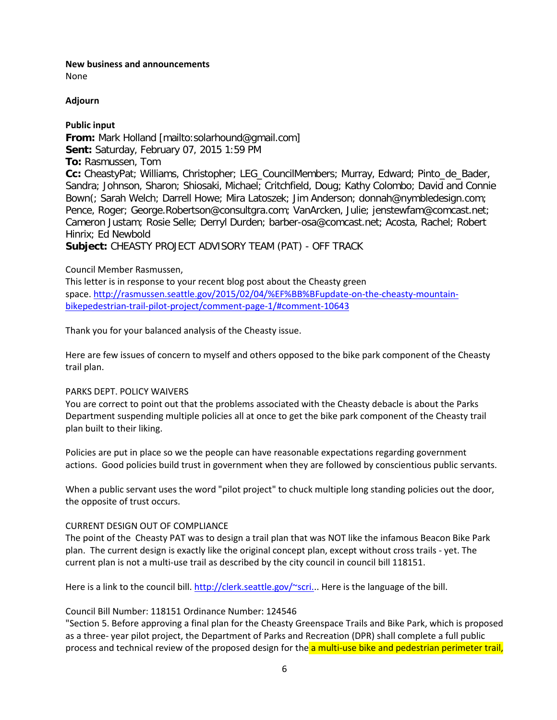## **New business and announcements**

None

## **Adjourn**

## **Public input**

**From:** Mark Holland [mailto:solarhound@gmail.com] **Sent:** Saturday, February 07, 2015 1:59 PM **To:** Rasmussen, Tom **Cc:** CheastyPat; Williams, Christopher; LEG\_CouncilMembers; Murray, Edward; Pinto\_de\_Bader, Sandra; Johnson, Sharon; Shiosaki, Michael; Critchfield, Doug; Kathy Colombo; David and Connie Bown(; Sarah Welch; Darrell Howe; Mira Latoszek; Jim Anderson; donnah@nymbledesign.com; Pence, Roger; George.Robertson@consultgra.com; VanArcken, Julie; jenstewfam@comcast.net; Cameron Justam; Rosie Selle; Derryl Durden; barber-osa@comcast.net; Acosta, Rachel; Robert Hinrix; Ed Newbold **Subject:** CHEASTY PROJECT ADVISORY TEAM (PAT) - OFF TRACK

## Council Member Rasmussen,

This letter is in response to your recent blog post about the Cheasty green space. [http://rasmussen.seattle.gov/2015/02/04/%EF%BB%BFupdate-on-the-cheasty-mountain](http://rasmussen.seattle.gov/2015/02/04/%EF%BB%BFupdate-on-the-cheasty-mountain-bikepedestrian-trail-pilot-project/comment-page-1/#comment-10643)[bikepedestrian-trail-pilot-project/comment-page-1/#comment-10643](http://rasmussen.seattle.gov/2015/02/04/%EF%BB%BFupdate-on-the-cheasty-mountain-bikepedestrian-trail-pilot-project/comment-page-1/#comment-10643)

Thank you for your balanced analysis of the Cheasty issue.

Here are few issues of concern to myself and others opposed to the bike park component of the Cheasty trail plan.

## PARKS DEPT. POLICY WAIVERS

You are correct to point out that the problems associated with the Cheasty debacle is about the Parks Department suspending multiple policies all at once to get the bike park component of the Cheasty trail plan built to their liking.

Policies are put in place so we the people can have reasonable expectations regarding government actions. Good policies build trust in government when they are followed by conscientious public servants.

When a public servant uses the word "pilot project" to chuck multiple long standing policies out the door, the opposite of trust occurs.

## CURRENT DESIGN OUT OF COMPLIANCE

The point of the Cheasty PAT was to design a trail plan that was NOT like the infamous Beacon Bike Park plan. The current design is exactly like the original concept plan, except without cross trails - yet. The current plan is not a multi-use trail as described by the city council in council bill 118151.

Here is a link to the council bill. [http://clerk.seattle.gov/~scri..](http://clerk.seattle.gov/~scri.). Here is the language of the bill.

## Council Bill Number: 118151 Ordinance Number: 124546

"Section 5. Before approving a final plan for the Cheasty Greenspace Trails and Bike Park, which is proposed as a three- year pilot project, the Department of Parks and Recreation (DPR) shall complete a full public process and technical review of the proposed design for the a multi-use bike and pedestrian perimeter trail,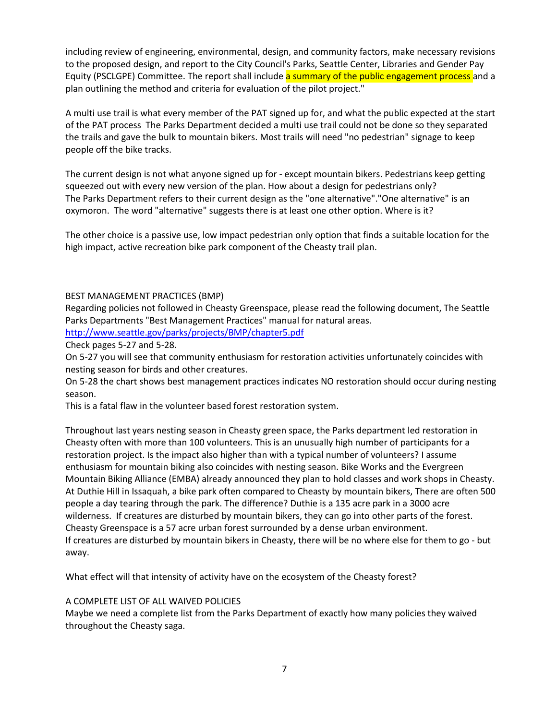including review of engineering, environmental, design, and community factors, make necessary revisions to the proposed design, and report to the City Council's Parks, Seattle Center, Libraries and Gender Pay Equity (PSCLGPE) Committee. The report shall include a summary of the public engagement process and a plan outlining the method and criteria for evaluation of the pilot project."

A multi use trail is what every member of the PAT signed up for, and what the public expected at the start of the PAT process The Parks Department decided a multi use trail could not be done so they separated the trails and gave the bulk to mountain bikers. Most trails will need "no pedestrian" signage to keep people off the bike tracks.

The current design is not what anyone signed up for - except mountain bikers. Pedestrians keep getting squeezed out with every new version of the plan. How about a design for pedestrians only? The Parks Department refers to their current design as the "one alternative"."One alternative" is an oxymoron. The word "alternative" suggests there is at least one other option. Where is it?

The other choice is a passive use, low impact pedestrian only option that finds a suitable location for the high impact, active recreation bike park component of the Cheasty trail plan.

## BEST MANAGEMENT PRACTICES (BMP)

Regarding policies not followed in Cheasty Greenspace, please read the following document, The Seattle Parks Departments "Best Management Practices" manual for natural areas.

<http://www.seattle.gov/parks/projects/BMP/chapter5.pdf>

Check pages 5-27 and 5-28.

On 5-27 you will see that community enthusiasm for restoration activities unfortunately coincides with nesting season for birds and other creatures.

On 5-28 the chart shows best management practices indicates NO restoration should occur during nesting season.

This is a fatal flaw in the volunteer based forest restoration system.

Throughout last years nesting season in Cheasty green space, the Parks department led restoration in Cheasty often with more than 100 volunteers. This is an unusually high number of participants for a restoration project. Is the impact also higher than with a typical number of volunteers? I assume enthusiasm for mountain biking also coincides with nesting season. Bike Works and the Evergreen Mountain Biking Alliance (EMBA) already announced they plan to hold classes and work shops in Cheasty. At Duthie Hill in Issaquah, a bike park often compared to Cheasty by mountain bikers, There are often 500 people a day tearing through the park. The difference? Duthie is a 135 acre park in a 3000 acre wilderness. If creatures are disturbed by mountain bikers, they can go into other parts of the forest. Cheasty Greenspace is a 57 acre urban forest surrounded by a dense urban environment. If creatures are disturbed by mountain bikers in Cheasty, there will be no where else for them to go - but away.

What effect will that intensity of activity have on the ecosystem of the Cheasty forest?

## A COMPLETE LIST OF ALL WAIVED POLICIES

Maybe we need a complete list from the Parks Department of exactly how many policies they waived throughout the Cheasty saga.